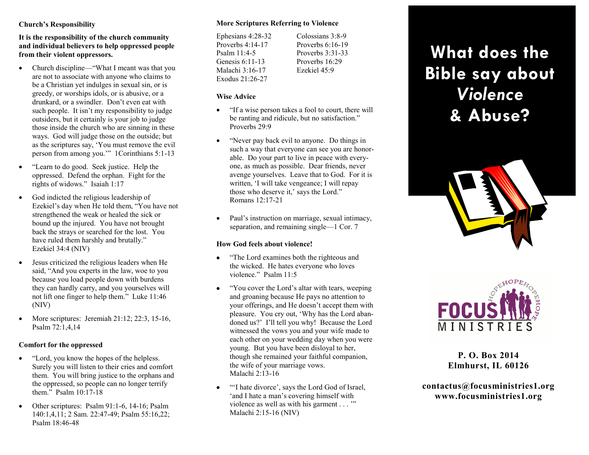## **Church's Responsibility**

**It is the responsibility of the church community and individual believers to help oppressed people from their violent oppressors.**

- Church discipline—"What I meant was that you are not to associate with anyone who claims to be a Christian yet indulges in sexual sin, or is greedy, or worships idols, or is abusive, or a drunkard, or a swindler. Don't even eat with such people. It isn't my responsibility to judge outsiders, but it certainly is your job to judge those inside the church who are sinning in these ways. God will judge those on the outside; but as the scriptures say, 'You must remove the evil person from among you.'" 1Corinthians 5:1-13
- "Learn to do good. Seek justice. Help the oppressed. Defend the orphan. Fight for the rights of widows." Isaiah 1:17
- God indicted the religious leadership of Ezekiel's day when He told them, "You have not strengthened the weak or healed the sick or bound up the injured. You have not brought back the strays or searched for the lost. You have ruled them harshly and brutally." Ezekiel 34:4 (NIV)
- Jesus criticized the religious leaders when He said, "And you experts in the law, woe to you because you load people down with burdens they can hardly carry, and you yourselves will not lift one finger to help them." Luke 11:46 (NIV)
- More scriptures: Jeremiah  $21:12:22:3, 15-16$ , Psalm 72:1,4,14

# **Comfort for the oppressed**

- "Lord, you know the hopes of the helpless. Surely you will listen to their cries and comfort them. You will bring justice to the orphans and the oppressed, so people can no longer terrify them." Psalm 10:17-18
- $\bullet$  Other scriptures: Psalm 91:1-6, 14-16; Psalm 140:1,4,11; 2 Sam. 22:47-49; Psalm 55:16,22; Psalm 18:46-48

## **More Scriptures Referring to Violence**

| Colossians 3:8-9   |
|--------------------|
| Proverbs $6:16-19$ |
| Proverbs 3:31-33   |
| Proverbs 16:29     |
| Ezekiel 45:9       |
|                    |
|                    |

### **Wise Advice**

- "If a wise person takes a fool to court, there will be ranting and ridicule, but no satisfaction." Proverbs 29:9
- "Never pay back evil to anyone. Do things in such a way that everyone can see you are honorable. Do your part to live in peace with everyone, as much as possible. Dear friends, never avenge yourselves. Leave that to God. For it is written, 'I will take vengeance; I will repay those who deserve it,' says the Lord." Romans 12:17-21
- Paul's instruction on marriage, sexual intimacy, separation, and remaining single—1 Cor. 7

# **How God feels about violence!**

- "The Lord examines both the righteous and the wicked. He hates everyone who loves violence." Psalm 11:5
- "You cover the Lord's altar with tears, weeping and groaning because He pays no attention to your offerings, and He doesn't accept them with pleasure. You cry out, 'Why has the Lord abandoned us?' I'll tell you why! Because the Lord witnessed the vows you and your wife made to each other on your wedding day when you were young. But you have been disloyal to her, though she remained your faithful companion, the wife of your marriage vows. Malachi 2:13-16
- "I hate divorce', says the Lord God of Israel, 'and I hate a man's covering himself with violence as well as with his garment . . . '" Malachi 2:15-16 (NIV)

# **What does the Bible say about** *Violence*  **& Abuse?**





**P. O. Box 2014 Elmhurst, IL 60126**

**contactus@focusministries1.org www.focusministries1.org**